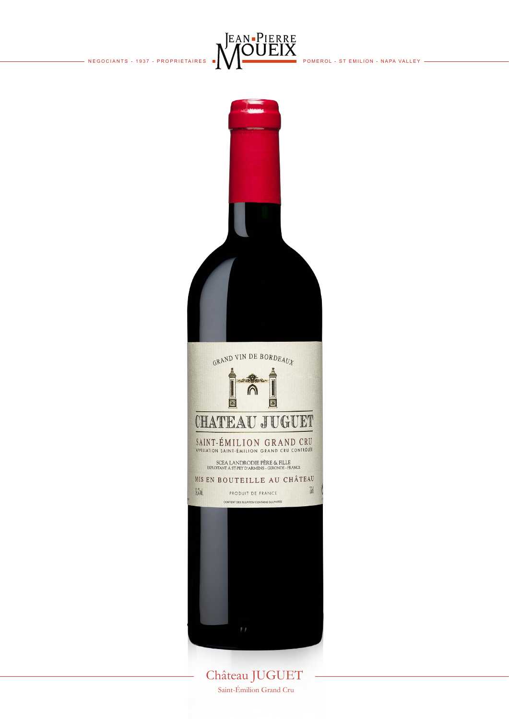



Château JUGUET Saint-Émilion Grand Cru